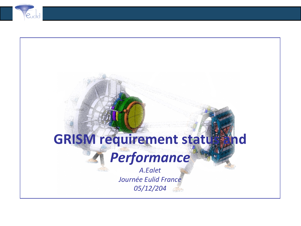

# **GRISM requirement status**

# *Performance*

*A.Ealet Journée Eulid France 05/12/204*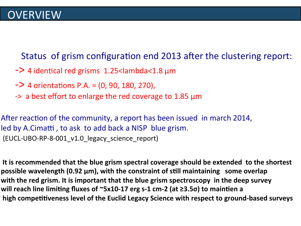Status of grism configuration end 2013 after the clustering report:

- $\sim$  4 identical red grisms 1.25<lambda<1.8  $\mu$ m
- $-$  4 orientations P.A. =  $(0, 90, 180, 270)$ ,
- $\rightarrow$  a best effort to enlarge the red coverage to 1.85  $\mu$ m

After reaction of the community, a report has been issued in march 2014, led by A.Cimatti, to ask to add back a NISP blue grism. (EUCL-UBO-RP-8-001\_v1.0\_legacy\_science\_report)

It is recommended that the blue grism spectral coverage should be extended to the shortest **possible wavelength (0.92 μm), with the constraint of still maintaining some overlap with the red grism. It is important that the blue grism spectroscopy in the deep survey** will reach line limiting fluxes of ~5x10-17 erg s-1 cm-2 (at ≥3.5σ) to maintien a high competitiveness level of the Euclid Legacy Science with respect to ground-based surveys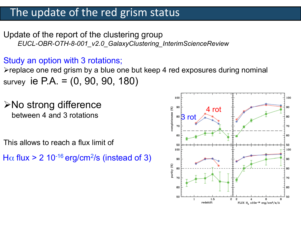### The update of the red grism status

Update of the report of the clustering group *EUCL-OBR-OTH-8-001\_v2.0\_GalaxyClustering\_InterimScienceReview* 

Study an option with 3 rotations;

 $\triangleright$  replace one red grism by a blue one but keep 4 red exposures during nominal survey ie P.A. = (0, 90, 90, 180)

 $\triangleright$ No strong difference between 4 and 3 rotations

This allows to reach a flux limit of

H $\alpha$  flux > 2 10<sup>-16</sup> erg/cm<sup>2</sup>/s (instead of 3)

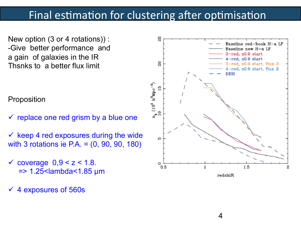### Final estimation for clustering after optimisation

New option (3 or 4 rotations)) : -Give better performance and a gain of galaxies in the IR Thsnks to a better flux limit

Proposition

- $\checkmark$  replace one red grism by a blue one
- $\checkmark$  keep 4 red exposures during the wide with 3 rotations ie P.A. = (0, 90, 90, 180)
- $\checkmark$  coverage  $0,9 < z < 1.8$ .  $=$  > 1.25 < lambda < 1.85 µm
- ü 4 exposures of 560s



4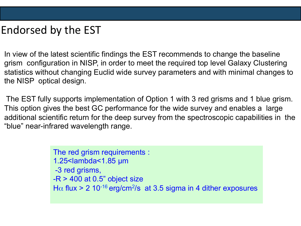# Endorsed by the EST

In view of the latest scientific findings the EST recommends to change the baseline grism configuration in NISP, in order to meet the required top level Galaxy Clustering statistics without changing Euclid wide survey parameters and with minimal changes to the NISP optical design.

 The EST fully supports implementation of Option 1 with 3 red grisms and 1 blue grism. This option gives the best GC performance for the wide survey and enables a large additional scientific return for the deep survey from the spectroscopic capabilities in the "blue" near-infrared wavelength range.

> The red grism requirements : 1.25<lambda<1.85 µm -3 red grisms,  $-R > 400$  at 0.5" object size H $\alpha$  flux > 2 10<sup>-16</sup> erg/cm<sup>2</sup>/s at 3.5 sigma in 4 dither exposures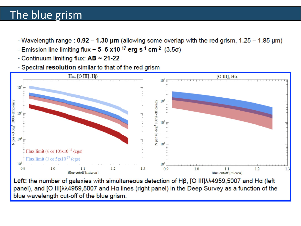## The blue grism

- Wavelength range :  $0.92 1.30 \mu m$  (allowing some overlap with the red grism,  $1.25 1.85 \mu m$ )
- Emission line limiting flux  $\sim$  5-6 x10<sup>-17</sup> erg s<sup>-1</sup> cm<sup>-2</sup> (3.5 $\sigma$ )
- Continuum limiting flux:  $AB \sim 21-22$
- Spectral resolution similar to that of the red grism



Left: the number of galaxies with simultaneous detection of  $H\beta$ , [O III] $\lambda\lambda$ 4959,5007 and Ha (left panel), and [Ο ΙΙΙ]λλ4959,5007 and Hα lines (right panel) in the Deep Survey as a function of the blue wavelength cut-off of the blue grism.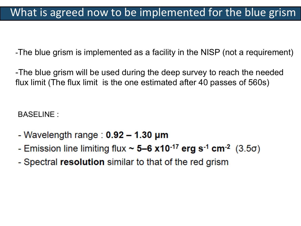-The blue grism is implemented as a facility in the NISP (not a requirement)

-The blue grism will be used during the deep survey to reach the needed flux limit (The flux limit is the one estimated after 40 passes of 560s)

BASELINE :

- Wavelength range :  $0.92 1.30 \mu m$
- Emission line limiting flux  $\sim$  5–6 x10<sup>-17</sup> erg s<sup>-1</sup> cm<sup>-2</sup> (3.5 $\sigma$ )
- Spectral resolution similar to that of the red grism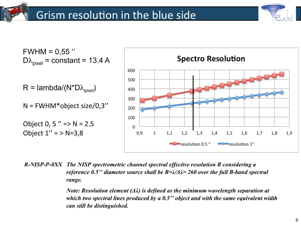

 $FWHM = 0.55$  "  $D\lambda_{pixel}$  = constant = 13.4 A

 $R =$ lambda/(N\*D $\lambda_{pixel}$ )

 $N = FWHM^*$ object size/0,3"

Object 0, 5 " = >  $N = 2.5$ Object  $1'' = > N = 3,8$ 



R-NISP-P-0XX The NISP spectrometric channel spectral effective resolution R considering a reference 0.5" diameter source shall be  $R=\lambda/\Delta\lambda$  260 over the full B-band spectral range.

> Note: Resolution element  $(\Delta \lambda)$  is defined as the minimum wavelength separation at which two spectral lines produced by a  $0.5$ " object and with the same equivalent width can still be distinguished.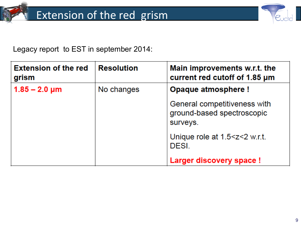

Legacy report to EST in september 2014:

| <b>Extension of the red</b><br>grism | <b>Resolution</b> | Main improvements w.r.t. the<br>current red cutoff of 1.85 µm          |
|--------------------------------------|-------------------|------------------------------------------------------------------------|
| $1.85 - 2.0 \,\mu m$                 | No changes        | Opaque atmosphere !                                                    |
|                                      |                   | General competitiveness with<br>ground-based spectroscopic<br>surveys. |
|                                      |                   | Unique role at $1.5 < z < 2$ w.r.t.<br>DESI.                           |
|                                      |                   | <b>Larger discovery space!</b>                                         |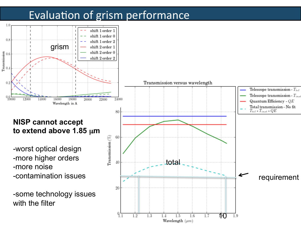# Evaluation of grism performance